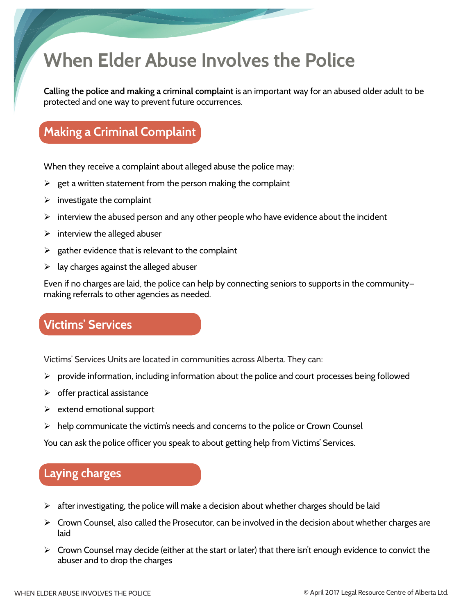# **When Elder Abuse Involves the Police**

**Calling the police and making a criminal complaint** is an important way for an abused older adult to be protected and one way to prevent future occurrences.

# **Making a Criminal Complaint**

When they receive a complaint about alleged abuse the police may:

- $\triangleright$  get a written statement from the person making the complaint
- $\triangleright$  investigate the complaint
- $\triangleright$  interview the abused person and any other people who have evidence about the incident
- $\triangleright$  interview the alleged abuser
- $\triangleright$  gather evidence that is relevant to the complaint
- $\blacktriangleright$  lay charges against the alleged abuser

Even if no charges are laid, the police can help by connecting seniors to supports in the community making referrals to other agencies as needed.

# **Victims' Services**

Victims' Services Units are located in communities across Alberta. They can:

- $\triangleright$  provide information, including information about the police and court processes being followed
- $\triangleright$  offer practical assistance
- $\triangleright$  extend emotional support
- $\triangleright$  help communicate the victim's needs and concerns to the police or Crown Counsel

You can ask the police officer you speak to about getting help from Victims' Services.

# **Laying charges**

- $\triangleright$  after investigating, the police will make a decision about whether charges should be laid
- $\triangleright$  Crown Counsel, also called the Prosecutor, can be involved in the decision about whether charges are laid
- $\triangleright$  Crown Counsel may decide (either at the start or later) that there isn't enough evidence to convict the abuser and to drop the charges